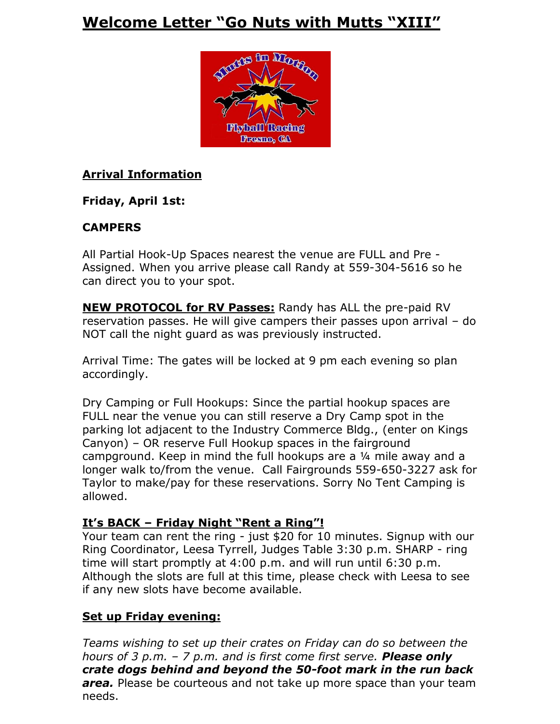# **Welcome Letter "Go Nuts with Mutts "XIII"**



# **Arrival Information**

# **Friday, April 1st:**

# **CAMPERS**

All Partial Hook-Up Spaces nearest the venue are FULL and Pre - Assigned. When you arrive please call Randy at 559-304-5616 so he can direct you to your spot.

**NEW PROTOCOL for RV Passes:** Randy has ALL the pre-paid RV reservation passes. He will give campers their passes upon arrival – do NOT call the night guard as was previously instructed.

Arrival Time: The gates will be locked at 9 pm each evening so plan accordingly.

Dry Camping or Full Hookups: Since the partial hookup spaces are FULL near the venue you can still reserve a Dry Camp spot in the parking lot adjacent to the Industry Commerce Bldg., (enter on Kings Canyon) – OR reserve Full Hookup spaces in the fairground campground. Keep in mind the full hookups are a ¼ mile away and a longer walk to/from the venue. Call Fairgrounds 559-650-3227 ask for Taylor to make/pay for these reservations. Sorry No Tent Camping is allowed.

# **It's BACK – Friday Night "Rent a Ring"!**

Your team can rent the ring - just \$20 for 10 minutes. Signup with our Ring Coordinator, Leesa Tyrrell, Judges Table 3:30 p.m. SHARP - ring time will start promptly at 4:00 p.m. and will run until 6:30 p.m. Although the slots are full at this time, please check with Leesa to see if any new slots have become available.

# **Set up Friday evening:**

*Teams wishing to set up their crates on Friday can do so between the hours of 3 p.m. – 7 p.m. and is first come first serve. Please only crate dogs behind and beyond the 50-foot mark in the run back area.* Please be courteous and not take up more space than your team needs.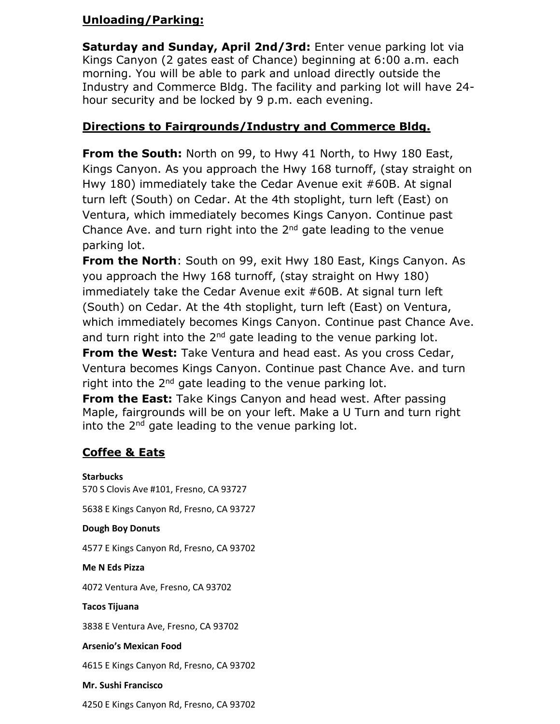# **Unloading/Parking:**

**Saturday and Sunday, April 2nd/3rd:** Enter venue parking lot via Kings Canyon (2 gates east of Chance) beginning at 6:00 a.m. each morning. You will be able to park and unload directly outside the Industry and Commerce Bldg. The facility and parking lot will have 24 hour security and be locked by 9 p.m. each evening.

# **Directions to Fairgrounds/Industry and Commerce Bldg.**

**From the South:** North on 99, to Hwy 41 North, to Hwy 180 East, Kings Canyon. As you approach the Hwy 168 turnoff, (stay straight on Hwy 180) immediately take the Cedar Avenue exit #60B. At signal turn left (South) on Cedar. At the 4th stoplight, turn left (East) on Ventura, which immediately becomes Kings Canyon. Continue past Chance Ave. and turn right into the  $2<sup>nd</sup>$  gate leading to the venue parking lot.

**From the North**: South on 99, exit Hwy 180 East, Kings Canyon. As you approach the Hwy 168 turnoff, (stay straight on Hwy 180) immediately take the Cedar Avenue exit #60B. At signal turn left (South) on Cedar. At the 4th stoplight, turn left (East) on Ventura, which immediately becomes Kings Canyon. Continue past Chance Ave. and turn right into the  $2^{nd}$  gate leading to the venue parking lot.

**From the West:** Take Ventura and head east. As you cross Cedar, Ventura becomes Kings Canyon. Continue past Chance Ave. and turn right into the  $2<sup>nd</sup>$  gate leading to the venue parking lot.

**From the East:** Take Kings Canyon and head west. After passing Maple, fairgrounds will be on your left. Make a U Turn and turn right into the 2<sup>nd</sup> gate leading to the venue parking lot.

# **Coffee & Eats**

**Starbucks** 570 S Clovis Ave #101, Fresno, CA 93727 5638 E Kings Canyon Rd, Fresno, CA 93727 **Dough Boy Donuts** 4577 E Kings Canyon Rd, Fresno, CA 93702 **Me N Eds Pizza** 4072 Ventura Ave, Fresno, CA 93702 **Tacos Tijuana** 3838 E Ventura Ave, Fresno, CA 93702 **Arsenio's Mexican Food** 4615 E Kings Canyon Rd, Fresno, CA 93702 **Mr. Sushi Francisco**

4250 E Kings Canyon Rd, Fresno, CA 93702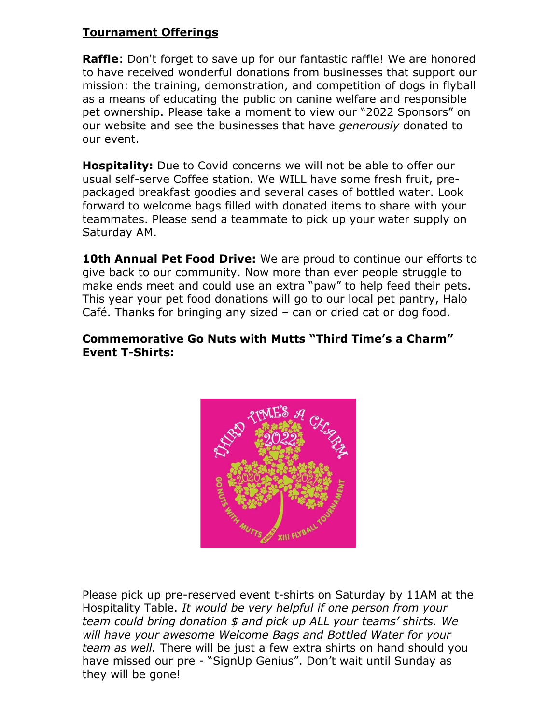# **Tournament Offerings**

**Raffle**: Don't forget to save up for our fantastic raffle! We are honored to have received wonderful donations from businesses that support our mission: the training, demonstration, and competition of dogs in flyball as a means of educating the public on canine welfare and responsible pet ownership. Please take a moment to view our "2022 Sponsors" on our website and see the businesses that have *generously* donated to our event.

**Hospitality:** Due to Covid concerns we will not be able to offer our usual self-serve Coffee station. We WILL have some fresh fruit, prepackaged breakfast goodies and several cases of bottled water. Look forward to welcome bags filled with donated items to share with your teammates. Please send a teammate to pick up your water supply on Saturday AM.

**10th Annual Pet Food Drive:** We are proud to continue our efforts to give back to our community. Now more than ever people struggle to make ends meet and could use an extra "paw" to help feed their pets. This year your pet food donations will go to our local pet pantry, Halo Café. Thanks for bringing any sized – can or dried cat or dog food.

### **Commemorative Go Nuts with Mutts "Third Time's a Charm" Event T-Shirts:**



Please pick up pre-reserved event t-shirts on Saturday by 11AM at the Hospitality Table. *It would be very helpful if one person from your team could bring donation \$ and pick up ALL your teams' shirts. We will have your awesome Welcome Bags and Bottled Water for your team as well.* There will be just a few extra shirts on hand should you have missed our pre - "SignUp Genius". Don't wait until Sunday as they will be gone!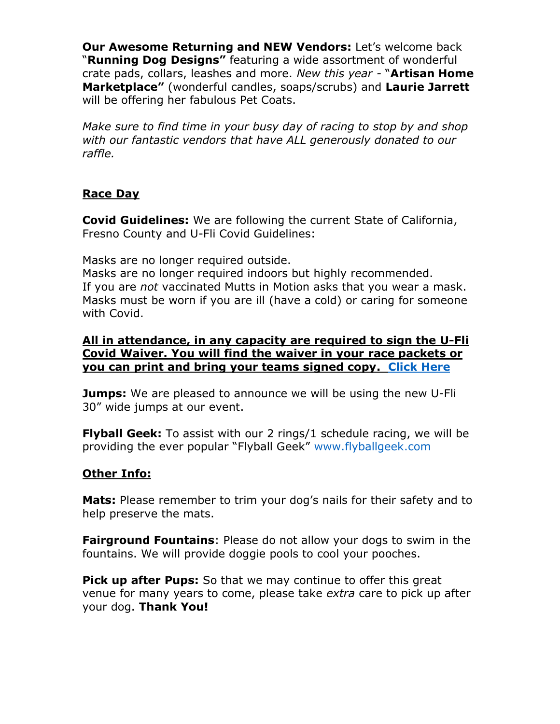**Our Awesome Returning and NEW Vendors:** Let's welcome back "**Running Dog Designs"** featuring a wide assortment of wonderful crate pads, collars, leashes and more. *New this year -* "**Artisan Home Marketplace"** (wonderful candles, soaps/scrubs) and **Laurie Jarrett** will be offering her fabulous Pet Coats.

*Make sure to find time in your busy day of racing to stop by and shop with our fantastic vendors that have ALL generously donated to our raffle.* 

### **Race Day**

**Covid Guidelines:** We are following the current State of California, Fresno County and U-Fli Covid Guidelines:

Masks are no longer required outside.

Masks are no longer required indoors but highly recommended. If you are *not* vaccinated Mutts in Motion asks that you wear a mask. Masks must be worn if you are ill (have a cold) or caring for someone with Covid.

#### **All in attendance, in any capacity are required to sign the U-Fli Covid Waiver. You will find the waiver in your race packets or you can print and bring your teams signed copy. Click Here**

**Jumps:** We are pleased to announce we will be using the new U-Fli 30" wide jumps at our event.

**Flyball Geek:** To assist with our 2 rings/1 schedule racing, we will be providing the ever popular "Flyball Geek" www.flyballgeek.com

### **Other Info:**

**Mats:** Please remember to trim your dog's nails for their safety and to help preserve the mats.

**Fairground Fountains**: Please do not allow your dogs to swim in the fountains. We will provide doggie pools to cool your pooches.

**Pick up after Pups:** So that we may continue to offer this great venue for many years to come, please take *extra* care to pick up after your dog. **Thank You!**